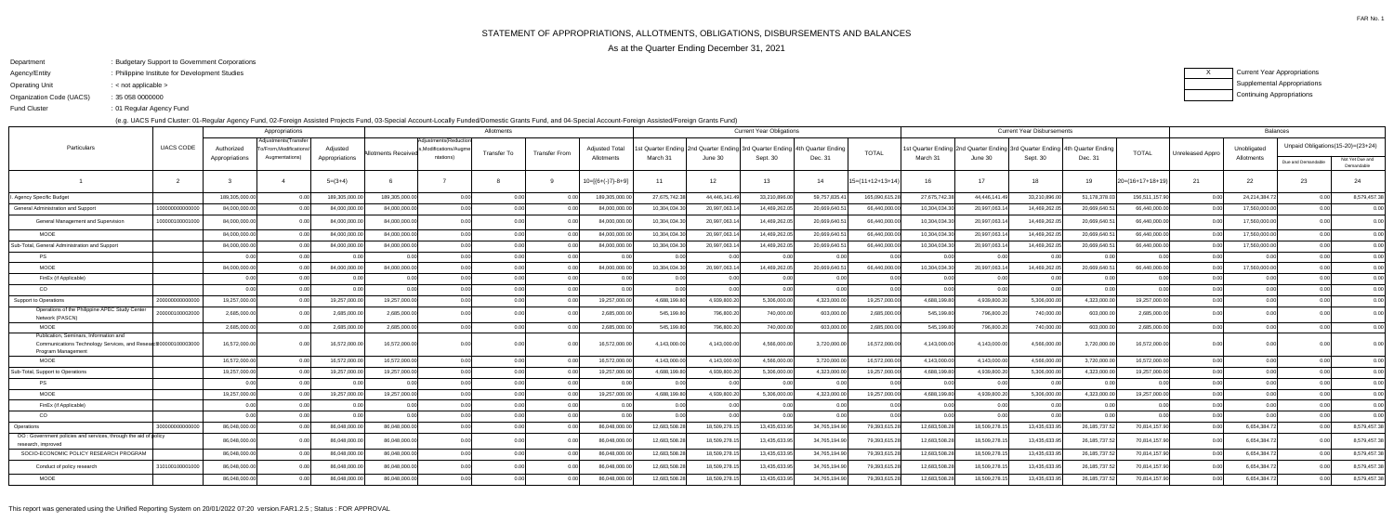FAR No. 1

ending the U.S. of Regular Agency Fund Fund Cluster

- Department: Budgetary Support to Government Corporations
- Agency/EntityPhilippine Institute for Development Studies:
- Operating Unit< not applicable >:

Organization Code (UACS)35 058 0000000:

(e.g. UACS Fund Cluster: 01-Regular Agency Fund, 02-Foreign Assisted Projects Fund, 03-Special Account-Locally Funded/Domestic Grants Fund, and 04-Special Account-Foreign Assisted/Foreign Grants Fund)

XCurrent Year Appropriations Supplemental AppropriationsContinuing Appropriations

|                                                                                                                               |                  | Appropriations |                                              |                |                            |                                                | Allotments  |                      |                       |               |                            | <b>Current Year Obligations</b>                                              |                |                    | <b>Current Year Disbursements</b>                                           |              |               |                |                  |                  | <b>Balances</b> |                                   |                               |  |
|-------------------------------------------------------------------------------------------------------------------------------|------------------|----------------|----------------------------------------------|----------------|----------------------------|------------------------------------------------|-------------|----------------------|-----------------------|---------------|----------------------------|------------------------------------------------------------------------------|----------------|--------------------|-----------------------------------------------------------------------------|--------------|---------------|----------------|------------------|------------------|-----------------|-----------------------------------|-------------------------------|--|
| Particulars                                                                                                                   | <b>UACS CODE</b> | Authorized     | Adjustments(Transfer<br>o/From,Modifications | Adjusted       | <b>Allotments Received</b> | Adjustments(Reduction<br>s,Modifications/Augme | Transfer To | <b>Transfer From</b> | <b>Adjusted Total</b> |               |                            | st Quarter Ending 2nd Quarter Ending 3rd Quarter Ending   4th Quarter Ending |                | <b>TOTAL</b>       | 1st Quarter Ending 2nd Quarter Ending 3rd Quarter Ending 4th Quarter Ending |              |               |                | <b>TOTAL</b>     | Unreleased Appro | Unobligated     | Unpaid Obligations(15-20)=(23+24) |                               |  |
|                                                                                                                               |                  | Appropriations | Augmentations)                               | Appropriations |                            | ntations)                                      |             |                      | Allotments            | March 31      | June 30                    | Sept. 30                                                                     | Dec. 31        |                    | March 31                                                                    | June 30      | Sept. 30      | Dec. 31        |                  |                  | Allotments      | Due and Demandable                | Not Yet Due and<br>Demandable |  |
|                                                                                                                               | - 2              |                |                                              | $5=(3+4)$      |                            |                                                |             |                      | $10=[{6+(-)}7-8+9]$   | 11            | 12                         | 13                                                                           | 14             | $15=(11+12+13+14)$ | 16                                                                          |              | 18            | 19             | 20=(16+17+18+19) | 21               | 22              | 23                                | 24                            |  |
| Agency Specific Budget                                                                                                        |                  | 189,305,000.00 |                                              | 189,305,000.0  | 189,305,000.00             | 0.00                                           | 0.00        |                      | 189,305,000.00        | 27,675,742.38 | 44,446,141.4               | 33,210,896.00                                                                | 59,757,835.4   | 165,090,615.28     | 27,675,742.38                                                               | 44,446,141.4 | 33,210,896.00 | 51,178,378.0   | 156,511,157.90   | 0.00             | 24,214,384.7    | 0.00                              | 8,579,457.38                  |  |
| General Administration and Support                                                                                            | 100000000000     | 84,000,000.00  |                                              | 84,000,000.0   | 84,000,000.0               | 0.00                                           | 0.00        |                      | 84,000,000.00         | 10,304,034.30 | 20,997,063.                | 14,469,262.0                                                                 | 20,669,640.5   | 66,440,000.00      | 10,304,034.3                                                                | 20,997,063.  | 14,469,262.0  | 20,669,640.    | 66,440,000.00    | 0.0              | 17,560,000.0    | 0.00 <sub>l</sub>                 | 0.00                          |  |
| General Management and Supervision                                                                                            | 10000010000100   | 84,000,000.00  |                                              | 84,000,000.0   | 84,000,000.0               | 0.00                                           | 0.00        |                      | 84,000,000.00         | 10,304,034.30 | 20,997,063.                | 14,469,262.0                                                                 | 20,669,640.5   | 66,440,000.00      | 10,304,034.3                                                                | 20,997,063.  | 14,469,262.0  | 20,669,640.5   | 66,440,000.00    | . റ റ            | 17,560,000.0    | 0.00                              | 0.00                          |  |
| <b>MOOE</b>                                                                                                                   |                  | 84,000,000.00  |                                              | 84,000,000.0   | 84.000.000.00              | 0.00                                           | 0.00        | 0.00                 | 84,000,000.00         | 10,304,034.30 | 20,997,063.1               | 14,469,262.0                                                                 | 20,669,640.5   | 66,440,000.00      | 10,304,034.30                                                               | 20,997,063.1 | 14,469,262.05 | 20,669,640.5   | 66,440,000.00    | 0.00             | 17,560,000.0    | 0.00                              | 0.00                          |  |
| Sub-Total, General Administration and Support                                                                                 |                  | 84,000,000.00  |                                              | 84,000,000.0   | 84,000,000.00              | 0.00                                           | 0.00        |                      | 84,000,000.00         | 10,304,034.30 | 20,997,063.1               | 14,469,262.0                                                                 | 20,669,640.5   | 66,440,000.00      | 10,304,034.30                                                               | 20,997,063.  | 14,469,262.05 | 20,669,640.    | 66,440,000.00    | 0.0              | 17,560,000.0    | 0.00                              | 0.00                          |  |
| <b>PS</b>                                                                                                                     |                  | 0.00           |                                              | 0.00           | 0.00                       | 0.00                                           | 0.00        | 0.00                 | 0.00 <sub>l</sub>     | 0.00          | 0 <sub>0</sub>             | 0.00                                                                         | 0.00           | 0.00               | 0.00                                                                        |              | 0.00          |                | 0.00             | 0.00             | 0 <sub>0</sub>  | 0.00 <sub>l</sub>                 | 0.00                          |  |
| <b>MOOE</b>                                                                                                                   |                  | 84,000,000.0   |                                              | 84,000,000.0   | 84,000,000.0               | 0.00                                           | 0.00        |                      | 84,000,000.00         | 10,304,034.30 | 20,997,063.                | 14,469,262.0                                                                 | 20,669,640.5   | 66,440,000.0       | 10,304,034.3                                                                | 20,997,063.  | 14,469,262.0  | 20,669,640.    | 66,440,000.00    |                  | 17,560,000.0    |                                   | 0.00                          |  |
| FinEx (if Applicable)                                                                                                         |                  | 0.00           |                                              | 0.00           | 0.00                       | 0.00                                           | 0.00        |                      | 0.00 <sub>l</sub>     | 0.00          | n nr                       | 0.00                                                                         |                | 0.00               |                                                                             |              | 0.00          |                | 0.00             | 0.00             | 0.0(            | 0.00 <sub>l</sub>                 | 0.00                          |  |
| CO                                                                                                                            |                  | 0 OC           |                                              | 0.00           |                            | 0.00                                           | 0.00        |                      | 0.001                 | 0.00          |                            | 0 <sub>0</sub>                                                               |                | 0.00               |                                                                             |              | 0.00          |                | 0.00             | 0.00             |                 | ი იი                              | 0.00                          |  |
| Support to Operations                                                                                                         | 200000000000     | 19,257,000.00  |                                              | 19,257,000.0   | 19,257,000.0               | 0.00                                           | 0.00        | 0.00                 | 19,257,000.00         | 4,688,199.80  | 4,939,800.2                | 5,306,000.0                                                                  | 4,323,000.0    | 19,257,000.0       | 4,688,199.80                                                                | 4,939,800.2  | 5,306,000.0   | 4,323,000.0    | 19,257,000.00    | 0.00             | 0 <sub>0</sub>  | 0.00 <sub>l</sub>                 | 0.00                          |  |
| Operations of the Philippine APEC Study Center<br>Network (PASCN)                                                             | 200000100002000  | 2.685.000.00   |                                              | 2.685.000.0    | 2.685.000.00               | 0.00                                           | 0.00        | 0 <sup>0</sup>       | 2.685.000.00          | 545.199.80    | 796.800.2                  | 740.000.00                                                                   | 603.000.0      | 2.685.000.00       | 545,199.80                                                                  | 796.800.2    | 740.000.00    | 603.000.0      | 2,685,000.00     | 0.00             | 0 <sub>0</sub>  |                                   | 0.00                          |  |
| <b>MOOE</b>                                                                                                                   |                  | 2,685,000.00   |                                              | 2,685,000.0    | 2,685,000.0                | 0.00                                           | 0.00        | 0.00                 | 2,685,000.00          | 545,199.80    | 796,800.2                  | 740,000.00                                                                   | 603,000.0      | 2,685,000.0        | 545,199.80                                                                  | 796,800.2    | 740,000.00    | 603,000.0      | 2,685,000.00     | 0.00             | 0 <sub>0</sub>  | 0.00                              | 0.00                          |  |
| Publication, Seminars, Information and<br>Communications Technology Services, and Researcl20000010000300<br>Program Managemen |                  | 16,572,000.00  |                                              | 16,572,000.00  | 16,572,000.00              | 0.00                                           | 0 O         |                      | 16,572,000.00         | 4,143,000.00  | 4,143,000.                 | 4,566,000.00                                                                 | 3,720,000.0    | 16,572,000.0       | 4,143,000.00                                                                | 4,143,000.0  | 4,566,000.00  | 3,720,000.0    | 16,572,000.00    | 0.00             |                 |                                   | 0.00                          |  |
| <b>MOOE</b>                                                                                                                   |                  | 16,572,000.00  |                                              | 16,572,000.00  | 16,572,000.00              | 0.00l                                          | 0.00        |                      | 16,572,000.00         | 4,143,000.00  | 4,143,000.0                | 4,566,000.00                                                                 | 3,720,000.0    | 16,572,000.00      | 4,143,000.00                                                                | 4,143,000.0  | 4,566,000.00  | 3,720,000.0    | 16,572,000.00    | 0.00             | 0 <sub>0</sub>  | 0.00                              | 0.00                          |  |
| Sub-Total, Support to Operations                                                                                              |                  | 19,257,000.00  |                                              | 19,257,000.00  | 19,257,000.00              | 0.00                                           | 0.00        |                      | 19,257,000.00         | 4,688,199.80  | 4,939,800.2                | 5,306,000.00                                                                 | 4,323,000.0    | 19,257,000.00      | 4,688,199.80                                                                | 4,939,800.20 | 5,306,000.00  | 4,323,000.0    | 19,257,000.00    | 0.00             |                 | 0.00                              | 0.00                          |  |
| <b>PS</b>                                                                                                                     |                  |                |                                              |                |                            | 0.00l                                          | 0.00        | 0 <sub>0</sub>       | 0.00                  | 0.00          | n nr                       | 0.00                                                                         | 0 <sub>0</sub> | 0.00               |                                                                             |              | 0 U           |                | 0.00             | 0.00             |                 | ი იი                              | 0.00                          |  |
| <b>MOOE</b>                                                                                                                   |                  | 19,257,000.00  |                                              | 19,257,000.00  | 19,257,000.00              | 0.00                                           | 0.00        | 0.00                 | 19,257,000.00         | 4,688,199.80  | 4,939,800.20               | 5,306,000.00                                                                 | 4,323,000.00   | 19,257,000.00      | 4,688,199.80                                                                | 4,939,800.20 | 5,306,000.00  | 4,323,000.0    | 19,257,000.00    | 0.00             | 0.00            | 0.00                              | 0.00                          |  |
| FinEx (if Applicable)                                                                                                         |                  | 0.00           |                                              | 0.O            | 0.00                       | 0.00l                                          | 0.00        |                      | 0.00                  | 0.00          | 0 <sup>0<sup>c</sup></sup> | 0.00                                                                         |                | 0.00               |                                                                             |              | 0.00          |                | 0.00             | 0.00             | 0 <sub>0</sub>  | 0.001                             | 0.00                          |  |
| CO                                                                                                                            |                  | 0.00           | ሰ ሰሰ                                         | 0.00           | 0.00                       | 0.00                                           | 0.00        | 0.00                 | 0.00                  | 0.00          |                            | 0.00                                                                         | 0.00           | 0.00               | 0.00                                                                        |              | 0.00          |                | 0.00             | 0.00             | 0 <sub>0</sub>  | 0.00                              | 0.00                          |  |
| Operations                                                                                                                    | 3000000000       | 86,048,000.00  |                                              | 86,048,000.0   | 86.048.000.0               | 0.00                                           | 0.00        |                      | 86,048,000.00         | 12,683,508.28 | 18,509,278.1               | 13,435,633.9                                                                 | 34,765,194.9   | 79,393,615.28      | 12,683,508.2                                                                | 18,509,278.1 | 13,435,633.95 | 26, 185, 737.  | 70,814,157.90    | 0.00             | 6,654,384.7     | 0.00                              | 8,579,457.38                  |  |
| OO: Government policies and services, through the aid of policy<br>research, improved                                         |                  | 86,048,000.00  |                                              | 86,048,000.0   | 86,048,000.00              | 0.00                                           | 0.00        |                      | 86,048,000.00         | 12,683,508.28 | 18,509,278.                | 13,435,633.                                                                  | 34,765,194.9   | 79,393,615.2       | 12,683,508.2                                                                | 18,509,278.  | 13,435,633.9  | 26, 185, 737.5 | 70,814,157.90    | 0.00             | 6,654,384.7     | 0.00                              | 8,579,457.38                  |  |
| SOCIO-ECONOMIC POLICY RESEARCH PROGRAM                                                                                        |                  | 86,048,000.00  |                                              | 86,048,000.0   | 86,048,000.0               | 0.00                                           | 0.00        |                      | 86,048,000.00         | 12,683,508.28 | 18,509,278.                | 13,435,633.9                                                                 | 34,765,194.9   | 79,393,615.28      | 12,683,508.2                                                                | 18,509,278.1 | 13,435,633.9  | 26, 185, 737.  | 70,814,157.90    | 0.00             | 6,654,384.7     | 0.00                              | 8,579,457.38                  |  |
| Conduct of policy research                                                                                                    | 310100100001000  | 86,048,000.00  |                                              | 86,048,000.00  | 86,048,000.00              | 0.00                                           | 0.00        |                      | 86,048,000.00         | 12,683,508.28 | 18,509,278.                | 13,435,633.9                                                                 | 34,765,194.90  | 79,393,615.28      | 12,683,508.2                                                                | 18,509,278.1 | 13,435,633.95 | 26, 185, 737.5 | 70,814,157.90    | 0.00             | 6,654,384.7     | 0.00                              | 8,579,457.38                  |  |
| <b>MOOE</b>                                                                                                                   |                  | 86,048,000.00  |                                              | 86,048,000.0   | 86,048,000.0               | 0.00                                           | 0.00        | 0.00                 | 86,048,000.00         | 12,683,508.28 | 18,509,278.                | 13,435,633.                                                                  | 34,765,194.9   | 79,393,615.2       | 12,683,508.2                                                                | 18,509,278.  | 13,435,633.95 | 26, 185, 737.5 | 70,814,157.90    | 0.00             | 6,654,384.7     | 0.00                              | 8,579,457.38                  |  |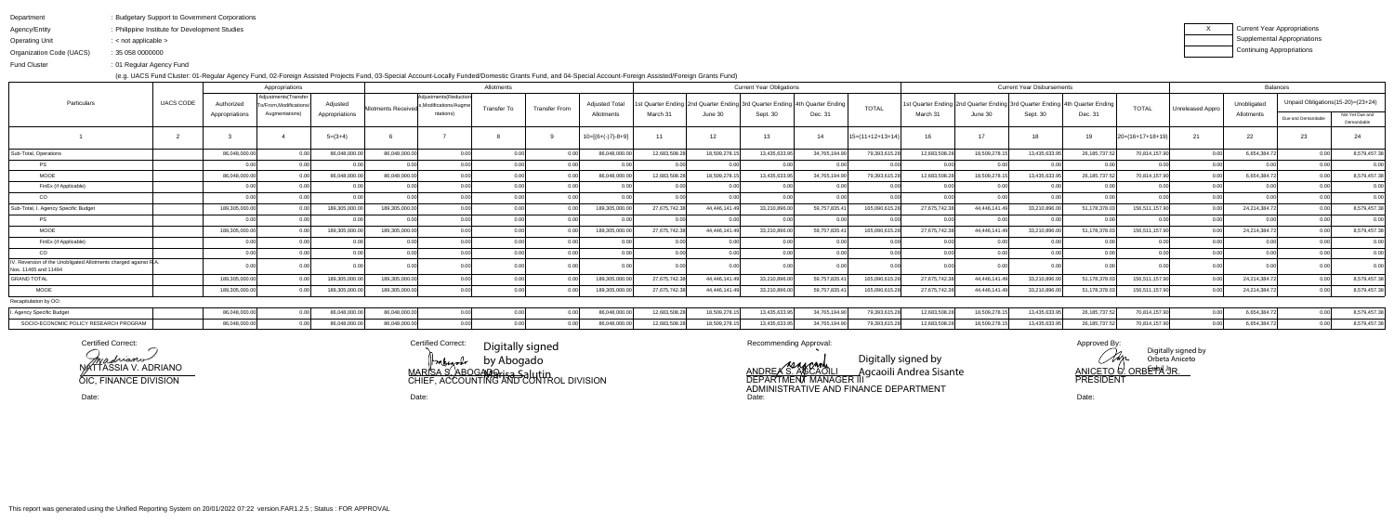Agency/EntityOperating UnitPhilippine Institute for Development Studies: : < not applicable >

| Department | : Budgetary Support to Government Corporations |  |
|------------|------------------------------------------------|--|
|            |                                                |  |

Organization Code (UACS)35 058 0000000:

Fund Cluster01 Regular Agency Fund:

(e.g. UACS Fund Cluster: 01-Regular Agency Fund, 02-Foreign Assisted Projects Fund, 03-Special Account-Locally Funded/Domestic Grants Fund, and 04-Special Account-Foreign Assisted/Foreign Grants Fund)

| x | Current Year Appropriations |
|---|-----------------------------|
|   | Supplemental Appropriations |
|   | Continuing Appropriations   |

|                                                                                         | Allotments<br>Appropriations |                                                       |                |                     |                                                |                    |                      |                                  | <b>Current Year Obligations</b> |                       |                  |                      |                    | <b>Current Year Disbursements</b> |               | <b>Balances</b>                                                                   |                |                    |                  |               |                                     |                               |
|-----------------------------------------------------------------------------------------|------------------------------|-------------------------------------------------------|----------------|---------------------|------------------------------------------------|--------------------|----------------------|----------------------------------|---------------------------------|-----------------------|------------------|----------------------|--------------------|-----------------------------------|---------------|-----------------------------------------------------------------------------------|----------------|--------------------|------------------|---------------|-------------------------------------|-------------------------------|
| <b>UACS CODE</b><br>Particulars                                                         | Authorized                   | Adjustments (Transfer<br><b>To/From.Modifications</b> | Adiusted       | Allotments Received | Adjustments (Reduction<br>Modifications/Augme. | <b>Transfer To</b> | <b>Transfer From</b> | <b>Adjusted To</b><br>Allotments | t Quarter Ending I.<br>March 31 | nd Quarter Ending 3ro | d Quarter Ending | l 4th Quarter Ending | <b>TOTAL</b>       |                                   |               | 1st Quarter Ending   2nd Quarter Ending   3rd Quarter Ending   4th Quarter Ending |                | <b>TOTAL</b>       | Unreleased Appro | Unobligated   | Unpaid Obligations (15-20)= (23+24) |                               |
|                                                                                         | Appropriations               | Augmentations)                                        | Appropriations |                     | ntations)                                      |                    |                      |                                  |                                 | June 30               | Sept. 30         | Dec. 31              |                    | March 3 <sup>-</sup>              | June 30       | Sept. 30                                                                          | Dec. 31        |                    |                  | Allotments    | Due and Demandable                  | Not Yet Due and<br>Demandable |
|                                                                                         |                              |                                                       | $5=(3+4)$      |                     |                                                |                    |                      | $10=[(6+(-)7)-8+9]$              | 11                              | $12 \overline{ }$     | 13               | 14                   | $15=(11+12+13+14)$ | 16                                | 17            | 18                                                                                |                | $20=(16+17+18+19)$ | 21               | 22            | 23                                  |                               |
| Sub-Total, Operations                                                                   | 86,048,000.0                 |                                                       | 86,048,000.00  | 86,048,000.00       | 0.00                                           |                    |                      | 86,048,000.00                    | 12,683,508.2                    | 18,509,278.15         | 13,435,633.9     | 34,765,194.90        | 79,393,615.28      | 12,683,508.2                      | 18,509,278.1  | 13,435,633.95                                                                     | 26, 185, 737.5 | 70,814,157.90      |                  | 6,654,384.72  | n nr                                | 8,579,457.38                  |
| <b>PS</b>                                                                               |                              |                                                       |                |                     | റ റവ                                           |                    |                      |                                  |                                 |                       |                  |                      |                    |                                   |               |                                                                                   |                |                    |                  |               |                                     | 0.00                          |
| <b>MOOE</b>                                                                             | 86,048,000.0                 |                                                       | 86,048,000.0   | 86,048,000.00       |                                                |                    |                      | 86,048,000.00                    | 12,683,508.2                    | 18,509,278.1          | 13,435,633.9     | 34,765,194.90        | 79,393,615.2       | 12,683,508.2                      | 18,509,278.   | 13,435,633.95                                                                     | 26, 185, 737.  | 70,814,157.90      |                  | 6,654,384.72  |                                     | 8,579,457.38                  |
| FinEx (if Applicable)                                                                   |                              |                                                       |                |                     | 0.00                                           |                    | 0.00                 |                                  |                                 | ስ ስስ                  |                  |                      |                    |                                   |               |                                                                                   |                | 0.00               |                  |               |                                     | 0.00                          |
| CO                                                                                      |                              |                                                       |                |                     |                                                |                    |                      |                                  |                                 |                       |                  |                      |                    |                                   |               |                                                                                   |                |                    |                  |               |                                     | 0.00                          |
| Sub-Total, I. Agency Specific Budget                                                    | 189,305,000.0                |                                                       | 189,305,000.0  | 189,305,000.00      |                                                |                    |                      | 189,305,000.00                   | 27,675,742.3                    | 44,446,141.49         | 33,210,896.0     | 59,757,835.41        | 165,090,615.2      | 27,675,742.3                      | 44,446,141.49 | 33,210,896.00                                                                     | 51,178,378.0   | 156,511,157.90     |                  | 24,214,384.72 |                                     | 8,579,457.38                  |
| <b>PS</b>                                                                               |                              |                                                       |                |                     | 0.00                                           |                    | 0.00                 |                                  |                                 |                       |                  |                      |                    |                                   |               |                                                                                   |                | 0.00               |                  |               |                                     | 0.00                          |
| <b>MOOE</b>                                                                             | 189,305,000.0                |                                                       | 189,305,000.00 | 189,305,000.00      |                                                |                    |                      | 189,305,000.00                   | 27,675,742.38                   | 44,446,141.49         | 33,210,896.00    | 59,757,835.41        | 165,090,615.2      | 27,675,742.3                      | 44,446,141.49 | 33,210,896.00                                                                     | 51,178,378.0   | 156,511,157.90     |                  | 24,214,384.72 | 0. QQ                               | 8,579,457.38                  |
| FinEx (if Applicable)                                                                   |                              |                                                       |                |                     |                                                |                    |                      |                                  |                                 |                       |                  |                      |                    |                                   |               |                                                                                   |                |                    |                  |               |                                     | 0.00                          |
| CO                                                                                      |                              |                                                       |                |                     |                                                |                    |                      |                                  |                                 |                       |                  |                      | 0 <sub>0</sub>     |                                   |               |                                                                                   |                |                    |                  |               |                                     | 0.00                          |
| V. Reversion of the Unobligated Allotments charged against R.A.<br>Nos. 11465 and 11494 |                              |                                                       |                |                     |                                                |                    | 0.00                 |                                  |                                 |                       |                  |                      |                    |                                   |               |                                                                                   |                |                    |                  |               |                                     | 0.00                          |
| <b>GRAND TOTAL</b>                                                                      | 189,305,000.0                |                                                       | 189,305,000.0  | 189,305,000.00      |                                                |                    |                      | 189,305,000.00                   | 27,675,742.38                   | 44,446,141.49         | 33,210,896.00    | 59,757,835.41        | 165,090,615.28     | 27,675,742.3                      | 44,446,141.49 | 33,210,896.00                                                                     | 51,178,378.0   | 156,511,157.90     |                  | 24,214,384.72 | 0.00 <sub>l</sub>                   | 8,579,457.38                  |
| <b>MOOE</b>                                                                             | 189,305,000.0                |                                                       | 189,305,000.00 | 189,305,000.00      |                                                |                    | 0.00                 | 189,305,000.00                   | 27,675,742.38                   | 44,446,141.49         | 33,210,896.00    | 59,757,835.41        | 165,090,615.28     | 27,675,742.3                      | 44,446,141.49 | 33,210,896.00                                                                     | 51,178,378.0   | 156,511,157.90     |                  | 24,214,384.72 | 0.00                                | 8,579,457.38                  |
| Recapitulation by OO:                                                                   |                              |                                                       |                |                     |                                                |                    |                      |                                  |                                 |                       |                  |                      |                    |                                   |               |                                                                                   |                |                    |                  |               |                                     |                               |
| . Agency Specific Budget                                                                | 86,048,000.00                | 0.001                                                 | 86,048,000.00  | 86,048,000.00       | 0.001                                          |                    | 0.00                 | 86,048,000.00                    | 12,683,508.28                   | 18,509,278.15         | 13,435,633.95    | 34,765,194.90        | 79,393,615.28      | 12,683,508.2                      | 18,509,278.15 | 13,435,633.95                                                                     | 26, 185, 737.5 | 70,814,157.90      | 0.00             | 6,654,384.72  | 0.00                                | 8,579,457.38                  |
| SOCIO-ECONOMIC POLICY RESEARCH PROGRAM                                                  | 86,048,000.0                 |                                                       | 86,048,000.0   | 86,048,000.00       |                                                |                    |                      | 86,048,000.00                    | 12,683,508.28                   | 18,509,278.15         | 13,435,633.9     | 34,765,194.90        | 79,393,615.2       | 12,683,508.2                      | 18,509,278.1  | 13,435,633.95                                                                     | 26, 185, 737.5 | 70,814,157.90      |                  | 6,654,384.72  |                                     | 8,579,457.38                  |

Certified Correct:

Date:

Certified Correct: Calculated Dictibut signed Recommending Approval: Approved By: Approved By: Certified Correct:MARISA S. ABOGADO CHIEF, ACCOUNTING AND CONTROL DIVISIONDigitally signed by Abogado <del>Marisa S</del>alutin

Date:

NATTASSIA V. ADRIANO

OIC, FINANCE DIVISION

 Date: Date: ANDRE*A* S. A⁄GCAOILI<br>DEPARTMENT MANAGER III ADMINISTRATIVE AND FINANCE DEPARTMENTDigitally signed by Agcaoili Andrea Sisante

Digitally signed by Clap Orbeta Aniceto ANICETO **C**. ORBE™A JR. PRESIDENT